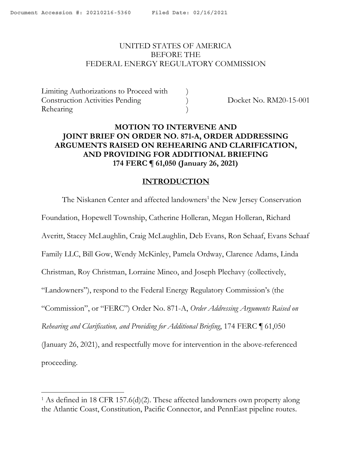#### <span id="page-0-0"></span>UNITED STATES OF AMERICA BEFORE THE FEDERAL ENERGY REGULATORY COMMISSION

Limiting Authorizations to Proceed with ) Construction Activities Pending ) Docket No. RM20-15-001 Rehearing )

# **MOTION TO INTERVENE AND JOINT BRIEF ON ORDER NO. 871-A, ORDER ADDRESSING ARGUMENTS RAISED ON REHEARING AND CLARIFICATION, AND PROVIDING FOR ADDITIONAL BRIEFING 174 FERC ¶ 61,050 (January 26, 2021)**

## **INTRODUCTION**

The Niskanen Center and affected landowners<sup>1</sup> the New Jersey Conservation Foundation, Hopewell Township, Catherine Holleran, Megan Holleran, Richard Averitt, Stacey McLaughlin, Craig McLaughlin, Deb Evans, Ron Schaaf, Evans Schaaf Family LLC, Bill Gow, Wendy McKinley, Pamela Ordway, Clarence Adams, Linda Christman, Roy Christman, Lorraine Mineo, and Joseph Plechavy (collectively, "Landowners"), respond to the Federal Energy Regulatory Commission's (the "Commission", or "FERC") Order No. 871-A, *Order Addressing Arguments Raised on Rehearing and Clarification, and Providing for Additional Briefing*, 174 FERC ¶ 61,050 (January 26, 2021), and respectfully move for intervention in the above-referenced proceeding.

<sup>&</sup>lt;sup>1</sup> As defined in 18 CFR 157.6(d)(2). These affected landowners own property along the Atlantic Coast, Constitution, Pacific Connector, and PennEast pipeline routes.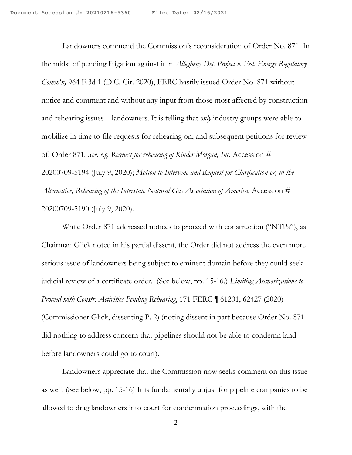Landowners commend the Commission's reconsideration of Order No. 871. In the midst of pending litigation against it in *Allegheny Def. Project v. Fed. Energy Regulatory Comm'n,* 964 F.3d 1 (D.C. Cir. 2020), FERC hastily issued Order No. 871 without notice and comment and without any input from those most affected by construction and rehearing issues—landowners. It is telling that *only* industry groups were able to mobilize in time to file requests for rehearing on, and subsequent petitions for review of, Order 871*. See, e.g. Request for rehearing of Kinder Morgan, Inc.* Accession # 20200709-5194 (July 9, 2020); *Motion to Intervene and Request for Clarification or, in the Alternative, Rehearing of the Interstate Natural Gas Association of America,* Accession # 20200709-5190 (July 9, 2020).

While Order 871 addressed notices to proceed with construction ("NTPs"), as Chairman Glick noted in his partial dissent, the Order did not address the even more serious issue of landowners being subject to eminent domain before they could seek judicial review of a certificate order. (See below, pp. 15-16.) *Limiting Authorizations to Proceed with Constr. Activities Pending Rehearing*, 171 FERC ¶ 61201, 62427 (2020) (Commissioner Glick, dissenting P. 2) (noting dissent in part because Order No. 871 did nothing to address concern that pipelines should not be able to condemn land before landowners could go to court).

Landowners appreciate that the Commission now seeks comment on this issue as well. (See below, pp. 15-16) It is fundamentally unjust for pipeline companies to be allowed to drag landowners into court for condemnation proceedings, with the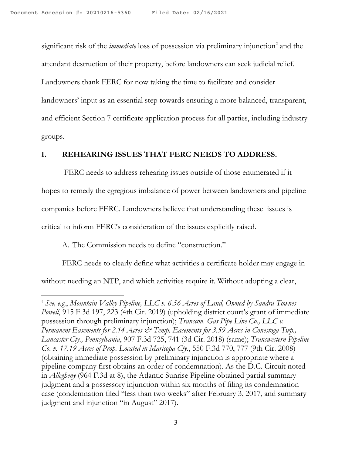significant risk of the *immediate* loss of possession via preliminary injunction <sup>2</sup> and the attendant destruction of their property, before landowners can seek judicial relief. Landowners thank FERC for now taking the time to facilitate and consider landowners' input as an essential step towards ensuring a more balanced, transparent, and efficient Section 7 certificate application process for all parties, including industry groups.

## **I. REHEARING ISSUES THAT FERC NEEDS TO ADDRESS.**

FERC needs to address rehearing issues outside of those enumerated if it hopes to remedy the egregious imbalance of power between landowners and pipeline companies before FERC. Landowners believe that understanding these issues is critical to inform FERC's consideration of the issues explicitly raised.

## A. The Commission needs to define "construction."

FERC needs to clearly define what activities a certificate holder may engage in without needing an NTP, and which activities require it. Without adopting a clear,

<sup>2</sup> *See, e.g.*, *Mountain Valley Pipeline, LLC v. 6.56 Acres of Land, Owned by Sandra Townes Powell*, 915 F.3d 197, 223 (4th Cir. 2019) (upholding district court's grant of immediate possession through preliminary injunction); *Transcon. Gas Pipe Line Co., LLC v. Permanent Easements for 2.14 Acres & Temp. Easements for 3.59 Acres in Conestoga Twp., Lancaster Cty., Pennsylvania*, 907 F.3d 725, 741 (3d Cir. 2018) (same); *Transwestern Pipeline Co. v. 17.19 Acres of Prop. Located in Maricopa Cty*., 550 F.3d 770, 777 (9th Cir. 2008) (obtaining immediate possession by preliminary injunction is appropriate where a pipeline company first obtains an order of condemnation). As the D.C. Circuit noted in *Allegheny* (964 F.3d at 8), the Atlantic Sunrise Pipeline obtained partial summary judgment and a possessory injunction within six months of filing its condemnation case (condemnation filed "less than two weeks" after February 3, 2017, and summary judgment and injunction "in August" 2017).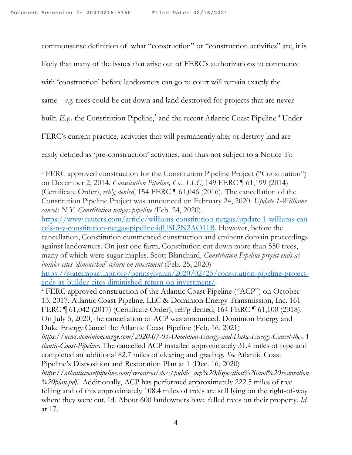commonsense definition of what "construction" or "construction activities" are, it is

likely that many of the issues that arise out of FERC's authorizations to commence

with 'construction' before landowners can go to court will remain exactly the

same—*e.g*. trees could be cut down and land destroyed for projects that are never

built. *E.g.,* the Constitution Pipeline, <sup>3</sup> and the recent Atlantic Coast Pipeline. <sup>4</sup> Under

FERC's current practice, activities that will permanently alter or destroy land are

easily defined as 'pre-construction' activities, and thus not subject to a Notice To

<sup>3</sup> FERC approved construction for the Constitution Pipeline Project ("Constitution") on December 2, 2014. *Constitution Pipeline, Co., LLC*, 149 FERC ¶ 61,199 (2014) (Certificate Order), *reh'g denied*, 154 FERC ¶ 61,046 (2016). The cancellation of the Constitution Pipeline Project was announced on February 24, 2020. *Update 1-Williams cancels N.Y. Constitution natgas pipeline* (Feb. 24, 2020).

[https://www.reuters.com/article/williams-constitution-natgas/update-1-williams-can](https://www.reuters.com/article/williams-constitution-natgas/update-1-williams-cancels-n-y-constitution-natgas-pipeline-idUSL2N2AO11B) [cels-n-y-constitution-natgas-pipeline-idUSL2N2AO11B.](https://www.reuters.com/article/williams-constitution-natgas/update-1-williams-cancels-n-y-constitution-natgas-pipeline-idUSL2N2AO11B) However, before the cancellation, Constitution commenced construction and eminent domain proceedings against landowners. On just one farm, Constitution cut down more than 550 trees, many of which were sugar maples. Scott Blanchard*, Constitution Pipeline project ends as builder cites 'diminished' return on investment* (Feb. 25, 2020)

[https://stateimpact.npr.org/pennsylvania/2020/02/25/constitution-pipeline-project](https://stateimpact.npr.org/pennsylvania/2020/02/25/constitution-pipeline-project-ends-as-builder-cites-diminished-return-on-investment/)[ends-as-builder-cites-diminished-return-on-investment/](https://stateimpact.npr.org/pennsylvania/2020/02/25/constitution-pipeline-project-ends-as-builder-cites-diminished-return-on-investment/).

<sup>4</sup> FERC approved construction of the Atlantic Coast Pipeline ("ACP") on October 13, 2017. Atlantic Coast Pipeline, LLC & Dominion Energy Transmission, Inc. 161 FERC ¶ 61,042 (2017) (Certificate Order), reh'g denied, 164 FERC ¶ 61,100 (2018). On July 5, 2020, the cancellation of ACP was announced. Dominion Energy and Duke Energy Cancel the Atlantic Coast Pipeline (Feb. 16, 2021)

*https://news.dominionenergy.com/2020-07-05-Dominion-Energy-and-Duke-Energy-Cancel-the-A tlantic-Coast-Pipeline*. The cancelled ACP installed approximately 31.4 miles of pipe and completed an additional 82.7 miles of clearing and grading. *See* Atlantic Coast Pipeline's Disposition and Restoration Plan at 1 (Dec. 16, 2020)

*https://atlanticcoastpipeline.com/resources/docs/public\_acp%20disposition%20and%20restoration %20plan.pdf.* Additionally, ACP has performed approximately 222.5 miles of tree felling and of this approximately 108.4 miles of trees are still lying on the right-of-way where they were cut. Id. About 600 landowners have felled trees on their property. *Id*. at 17.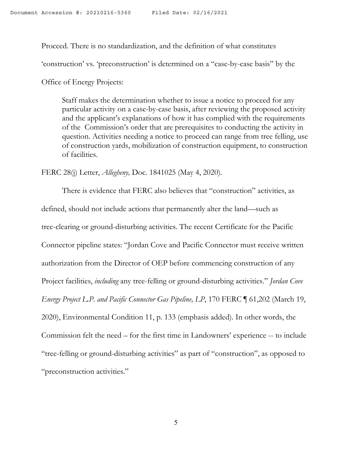Proceed. There is no standardization, and the definition of what constitutes

'construction' vs. 'preconstruction' is determined on a "case-by-case basis" by the

Office of Energy Projects:

Staff makes the determination whether to issue a notice to proceed for any particular activity on a case-by-case basis, after reviewing the proposed activity and the applicant's explanations of how it has complied with the requirements of the Commission's order that are prerequisites to conducting the activity in question. Activities needing a notice to proceed can range from tree felling, use of construction yards, mobilization of construction equipment, to construction of facilities.

FERC 28(j) Letter, *Allegheny,* Doc. 1841025 (May 4, 2020).

There is evidence that FERC also believes that "construction" activities, as defined, should not include actions that permanently alter the land—such as tree-clearing or ground-disturbing activities. The recent Certificate for the Pacific Connector pipeline states: "Jordan Cove and Pacific Connector must receive written authorization from the Director of OEP before commencing construction of any Project facilities, *including* any tree-felling or ground-disturbing activities." *Jordan Cove Energy Project L.P. and Pacific Connector Gas Pipeline, LP*, 170 FERC ¶ 61,202 (March 19, 2020), Environmental Condition 11, p. 133 (emphasis added). In other words, the Commission felt the need – for the first time in Landowners' experience -- to include "tree-felling or ground-disturbing activities" as part of "construction", as opposed to "preconstruction activities."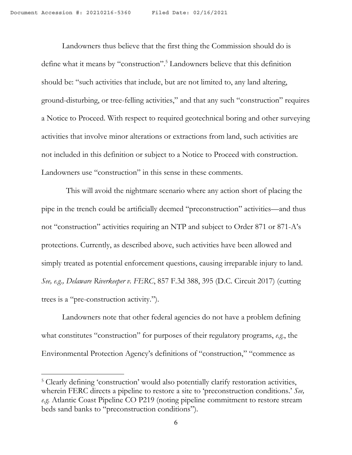Landowners thus believe that the first thing the Commission should do is define what it means by "construction". <sup>5</sup> Landowners believe that this definition should be: "such activities that include, but are not limited to, any land altering, ground-disturbing, or tree-felling activities," and that any such "construction" requires a Notice to Proceed. With respect to required geotechnical boring and other surveying activities that involve minor alterations or extractions from land, such activities are not included in this definition or subject to a Notice to Proceed with construction. Landowners use "construction" in this sense in these comments.

This will avoid the nightmare scenario where any action short of placing the pipe in the trench could be artificially deemed "preconstruction" activities—and thus not "construction" activities requiring an NTP and subject to Order 871 or 871-A's protections. Currently, as described above, such activities have been allowed and simply treated as potential enforcement questions, causing irreparable injury to land. *See, e.g., Delaware Riverkeeper v. FERC*, 857 F.3d 388, 395 (D.C. Circuit 2017) (cutting trees is a "pre-construction activity.").

Landowners note that other federal agencies do not have a problem defining what constitutes "construction" for purposes of their regulatory programs, *e.g.*, the Environmental Protection Agency's definitions of "construction," "commence as

<sup>&</sup>lt;sup>5</sup> Clearly defining 'construction' would also potentially clarify restoration activities, wherein FERC directs a pipeline to restore a site to 'preconstruction conditions.' *See, e.g.* Atlantic Coast Pipeline CO P219 (noting pipeline commitment to restore stream beds sand banks to "preconstruction conditions").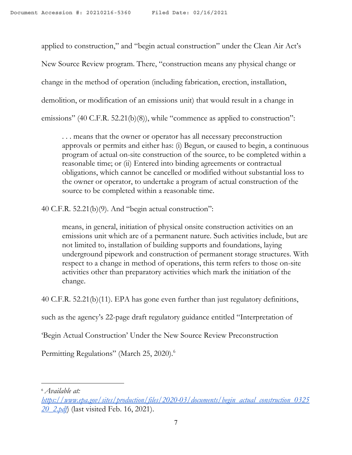applied to construction," and "begin actual construction" under the Clean Air Act's New Source Review program. There, "construction means any physical change or change in the method of operation (including fabrication, erection, installation, demolition, or modification of an emissions unit) that would result in a change in emissions" (40 C.F.R. 52.21(b)(8)), while "commence as applied to construction":

. . . means that the owner or operator has all necessary preconstruction approvals or permits and either has: (i) Begun, or caused to begin, a continuous program of actual on-site construction of the source, to be completed within a reasonable time; or (ii) Entered into binding agreements or contractual obligations, which cannot be cancelled or modified without substantial loss to the owner or operator, to undertake a program of actual construction of the source to be completed within a reasonable time.

40 C.F.R. 52.21(b)(9). And "begin actual construction":

means, in general, initiation of physical onsite construction activities on an emissions unit which are of a permanent nature. Such activities include, but are not limited to, installation of building supports and foundations, laying underground pipework and construction of permanent storage structures. With respect to a change in method of operations, this term refers to those on-site activities other than preparatory activities which mark the initiation of the change.

40 C.F.R. 52.21(b)(11). EPA has gone even further than just regulatory definitions,

such as the agency's 22-page draft regulatory guidance entitled "Interpretation of

'Begin Actual Construction' Under the New Source Review Preconstruction

Permitting Regulations" (March 25, 2020).<sup>6</sup>

<sup>6</sup> *Available at:*

*[https://www.epa.gov/sites/production/files/2020-03/documents/begin\\_actual\\_construction\\_0325](https://www.epa.gov/sites/production/files/2020-03/documents/begin_actual_construction_032520_2.pdf) [20\\_2.pdf](https://www.epa.gov/sites/production/files/2020-03/documents/begin_actual_construction_032520_2.pdf)*) (last visited Feb. 16, 2021).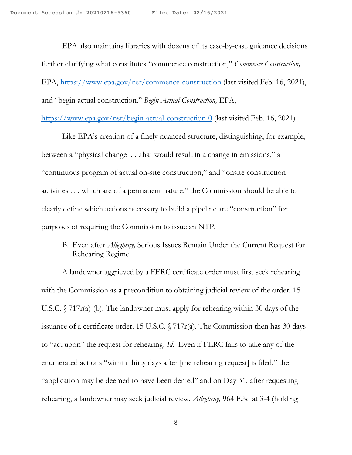EPA also maintains libraries with dozens of its case-by-case guidance decisions further clarifying what constitutes "commence construction," *Commence Construction,* EPA, <https://www.epa.gov/nsr/commence-construction> (last visited Feb. 16, 2021), and "begin actual construction." *Begin Actual Construction,* EPA,

<https://www.epa.gov/nsr/begin-actual-construction-0> (last visited Feb. 16, 2021).

Like EPA's creation of a finely nuanced structure, distinguishing, for example, between a "physical change . . .that would result in a change in emissions," a "continuous program of actual on-site construction," and "onsite construction activities . . . which are of a permanent nature," the Commission should be able to clearly define which actions necessary to build a pipeline are "construction" for purposes of requiring the Commission to issue an NTP.

## B. Even after *Allegheny,* Serious Issues Remain Under the Current Request for Rehearing Regime.

A landowner aggrieved by a FERC certificate order must first seek rehearing with the Commission as a precondition to obtaining judicial review of the order. 15 U.S.C. § 717r(a)-(b). The landowner must apply for rehearing within 30 days of the issuance of a certificate order. 15 U.S.C.  $\sqrt{717r(a)}$ . The Commission then has 30 days to "act upon" the request for rehearing. *Id.* Even if FERC fails to take any of the enumerated actions "within thirty days after [the rehearing request] is filed," the "application may be deemed to have been denied" and on Day 31, after requesting rehearing, a landowner may seek judicial review. *Allegheny,* 964 F.3d at 3-4 (holding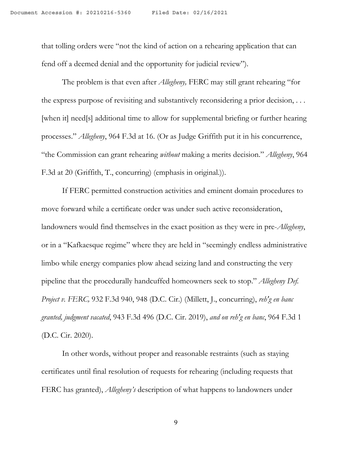that tolling orders were "not the kind of action on a rehearing application that can fend off a deemed denial and the opportunity for judicial review").

The problem is that even after *Allegheny,* FERC may still grant rehearing "for the express purpose of revisiting and substantively reconsidering a prior decision, . . . [when it] need[s] additional time to allow for supplemental briefing or further hearing processes." *Allegheny*, 964 F.3d at 16. (Or as Judge Griffith put it in his concurrence, "the Commission can grant rehearing *without* making a merits decision." *Allegheny*, 964 F.3d at 20 (Griffith, T., concurring) (emphasis in original.)).

If FERC permitted construction activities and eminent domain procedures to move forward while a certificate order was under such active reconsideration, landowners would find themselves in the exact position as they were in pre-*Allegheny*, or in a "Kafkaesque regime" where they are held in "seemingly endless administrative limbo while energy companies plow ahead seizing land and constructing the very pipeline that the procedurally handcuffed homeowners seek to stop." *Allegheny Def. Project v. FERC,* 932 F.3d 940, 948 (D.C. Cir.) (Millett, J., concurring), *reh'g en banc granted, judgment vacated*, 943 F.3d 496 (D.C. Cir. 2019), *and on reh'g en banc*, 964 F.3d 1 (D.C. Cir. 2020).

In other words, without proper and reasonable restraints (such as staying certificates until final resolution of requests for rehearing (including requests that FERC has granted), *Allegheny's* description of what happens to landowners under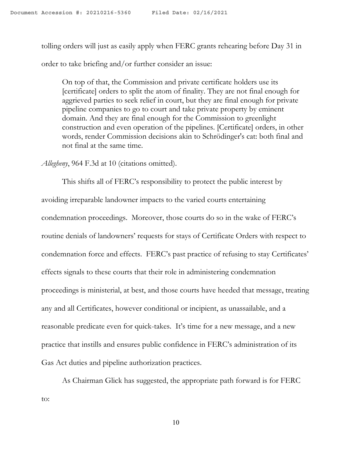tolling orders will just as easily apply when FERC grants rehearing before Day 31 in order to take briefing and/or further consider an issue:

On top of that, the Commission and private certificate holders use its [certificate] orders to split the atom of finality. They are not final enough for aggrieved parties to seek relief in court, but they are final enough for private pipeline companies to go to court and take private property by eminent domain. And they are final enough for the Commission to greenlight construction and even operation of the pipelines. [Certificate] orders, in other words, render Commission decisions akin to Schrödinger's cat: both final and not final at the same time.

*Allegheny*, 964 F.3d at 10 (citations omitted).

This shifts all of FERC's responsibility to protect the public interest by avoiding irreparable landowner impacts to the varied courts entertaining condemnation proceedings. Moreover, those courts do so in the wake of FERC's routine denials of landowners' requests for stays of Certificate Orders with respect to condemnation force and effects. FERC's past practice of refusing to stay Certificates' effects signals to these courts that their role in administering condemnation proceedings is ministerial, at best, and those courts have heeded that message, treating any and all Certificates, however conditional or incipient, as unassailable, and a reasonable predicate even for quick-takes. It's time for a new message, and a new practice that instills and ensures public confidence in FERC's administration of its Gas Act duties and pipeline authorization practices.

As Chairman Glick has suggested, the appropriate path forward is for FERC to:

10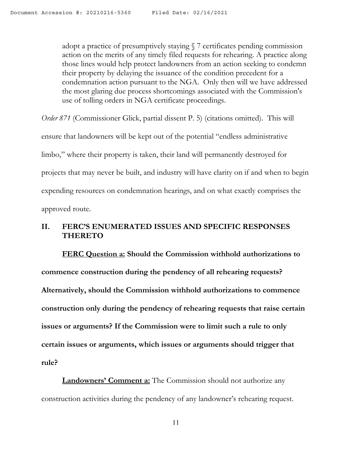adopt a practice of presumptively staying § 7 certificates pending commission action on the merits of any timely filed requests for rehearing. A practice along those lines would help protect landowners from an action seeking to condemn their property by delaying the issuance of the condition precedent for a condemnation action pursuant to the NGA. Only then will we have addressed the most glaring due process shortcomings associated with the Commission's use of tolling orders in NGA certificate proceedings.

*Order* 871 (Commissioner Glick, partial dissent P. 5) (citations omitted). This will ensure that landowners will be kept out of the potential "endless administrative limbo," where their property is taken, their land will permanently destroyed for projects that may never be built, and industry will have clarity on if and when to begin expending resources on condemnation hearings, and on what exactly comprises the approved route.

# **II. FERC'S ENUMERATED ISSUES AND SPECIFIC RESPONSES THERETO**

**FERC Question a: Should the Commission withhold authorizations to commence construction during the pendency of all rehearing requests? Alternatively, should the Commission withhold authorizations to commence construction only during the pendency of rehearing requests that raise certain issues or arguments? If the Commission were to limit such a rule to only certain issues or arguments, which issues or arguments should trigger that rule?**

**Landowners' Comment a:** The Commission should not authorize any construction activities during the pendency of any landowner's rehearing request.

11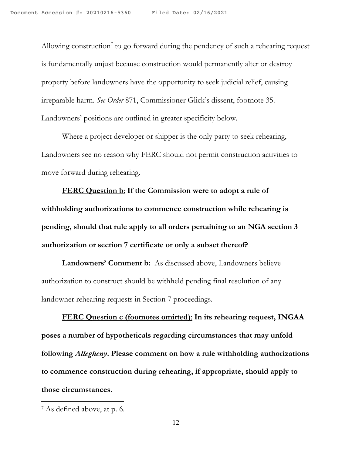Allowing construction<sup>7</sup> to go forward during the pendency of such a rehearing request is fundamentally unjust because construction would permanently alter or destroy property before landowners have the opportunity to seek judicial relief, causing irreparable harm. *See Order* 871, Commissioner Glick's dissent, footnote 35. Landowners' positions are outlined in greater specificity below.

Where a project developer or shipper is the only party to seek rehearing, Landowners see no reason why FERC should not permit construction activities to move forward during rehearing.

**FERC Question b**: **If the Commission were to adopt a rule of withholding authorizations to commence construction while rehearing is pending, should that rule apply to all orders pertaining to an NGA section 3 authorization or section 7 certificate or only a subset thereof?**

**Landowners' Comment b:** As discussed above, Landowners believe authorization to construct should be withheld pending final resolution of any landowner rehearing requests in Section 7 proceedings.

**FERC Question c (footnotes omitted)**: **In its rehearing request, INGAA poses a number of hypotheticals regarding circumstances that may unfold following** *Allegheny***. Please comment on how a rule withholding authorizations to commence construction during rehearing, if appropriate, should apply to those circumstances.**

<sup>7</sup> As defined above, at p. 6.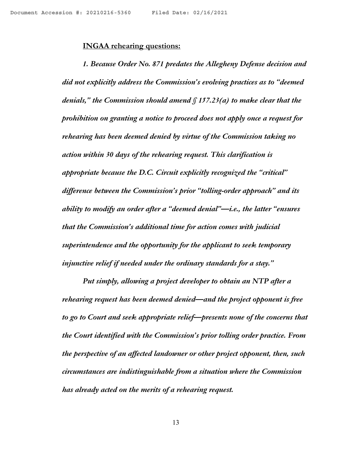#### **INGAA rehearing questions:**

*1. Because Order No. 871 predates the Allegheny Defense decision and did not explicitly address the Commission's evolving practices as to "deemed denials," the Commission should amend § 157.23(a) to make clear that the prohibition on granting a notice to proceed does not apply once a request for rehearing has been deemed denied by virtue of the Commission taking no action within 30 days of the rehearing request. This clarification is appropriate because the D.C. Circuit explicitly recognized the "critical" dif erence between the Commission's prior "tolling-order approach" and its ability to modify an order after a "deemed denial"—i.e., the latter "ensures that the Commission's additional time for action comes with judicial superintendence and the opportunity for the applicant to seek temporary injunctive relief if needed under the ordinary standards for a stay."*

*Put simply, allowing a project developer to obtain an NTP after a rehearing request has been deemed denied—and the project opponent is free to go to Court and seek appropriate relief—presents none of the concerns that the Court identified with the Commission's prior tolling order practice. From the perspective of an af ected landowner or other project opponent, then, such circumstances are indistinguishable from a situation where the Commission has already acted on the merits of a rehearing request.*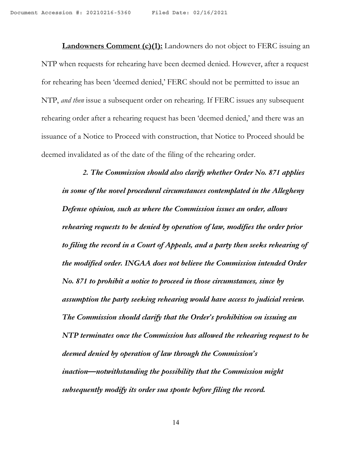**Landowners Comment (c)(1):** Landowners do not object to FERC issuing an NTP when requests for rehearing have been deemed denied. However, after a request for rehearing has been 'deemed denied,' FERC should not be permitted to issue an NTP, *and then* issue a subsequent order on rehearing. If FERC issues any subsequent rehearing order after a rehearing request has been 'deemed denied,' and there was an issuance of a Notice to Proceed with construction, that Notice to Proceed should be deemed invalidated as of the date of the filing of the rehearing order.

*2. The Commission should also clarify whether Order No. 871 applies in some of the novel procedural circumstances contemplated in the Allegheny Defense opinion, such as where the Commission issues an order, allows rehearing requests to be denied by operation of law, modifies the order prior to filing the record in a Court of Appeals, and a party then seeks rehearing of the modified order. INGAA does not believe the Commission intended Order No. 871 to prohibit a notice to proceed in those circumstances, since by assumption the party seeking rehearing would have access to judicial review. The Commission should clarify that the Order's prohibition on issuing an NTP terminates once the Commission has allowed the rehearing request to be deemed denied by operation of law through the Commission's inaction—notwithstanding the possibility that the Commission might subsequently modify its order sua sponte before filing the record.*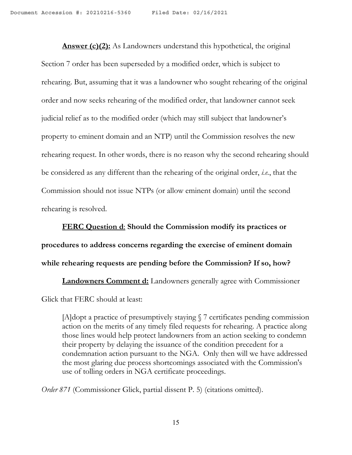**Answer (c)(2):** As Landowners understand this hypothetical, the original Section 7 order has been superseded by a modified order, which is subject to rehearing. But, assuming that it was a landowner who sought rehearing of the original order and now seeks rehearing of the modified order, that landowner cannot seek judicial relief as to the modified order (which may still subject that landowner's property to eminent domain and an NTP) until the Commission resolves the new rehearing request. In other words, there is no reason why the second rehearing should be considered as any different than the rehearing of the original order, *i.e.*, that the Commission should not issue NTPs (or allow eminent domain) until the second rehearing is resolved.

**FERC Question d**: **Should the Commission modify its practices or procedures to address concerns regarding the exercise of eminent domain while rehearing requests are pending before the Commission? If so, how?**

**Landowners Comment d:** Landowners generally agree with Commissioner Glick that FERC should at least:

[A]dopt a practice of presumptively staying § 7 certificates pending commission action on the merits of any timely filed requests for rehearing. A practice along those lines would help protect landowners from an action seeking to condemn their property by delaying the issuance of the condition precedent for a condemnation action pursuant to the NGA. Only then will we have addressed the most glaring due process shortcomings associated with the Commission's use of tolling orders in NGA certificate proceedings.

*Order 871* (Commissioner Glick, partial dissent P. 5) (citations omitted).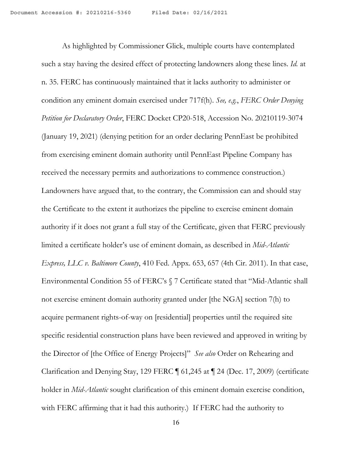As highlighted by Commissioner Glick, multiple courts have contemplated such a stay having the desired effect of protecting landowners along these lines. *Id.* at n. 35. FERC has continuously maintained that it lacks authority to administer or condition any eminent domain exercised under 717f(h). *See, e.g.*, *FERC Order Denying Petition for Declaratory Order*, FERC Docket CP20-518, Accession No. 20210119-3074 (January 19, 2021) (denying petition for an order declaring PennEast be prohibited from exercising eminent domain authority until PennEast Pipeline Company has received the necessary permits and authorizations to commence construction.) Landowners have argued that, to the contrary, the Commission can and should stay the Certificate to the extent it authorizes the pipeline to exercise eminent domain authority if it does not grant a full stay of the Certificate, given that FERC previously limited a certificate holder's use of eminent domain, as described in *Mid-Atlantic Express, LLC v. Baltimore County*, 410 Fed. Appx. 653, 657 (4th Cir. 2011). In that case, Environmental Condition 55 of FERC's § 7 Certificate stated that "Mid-Atlantic shall not exercise eminent domain authority granted under [the NGA] section 7(h) to acquire permanent rights-of-way on [residential] properties until the required site specific residential construction plans have been reviewed and approved in writing by the Director of [the Office of Energy Projects]" *See also* Order on Rehearing and Clarification and Denying Stay, 129 FERC ¶ 61,245 at ¶ 24 (Dec. 17, 2009) (certificate holder in *Mid-Atlantic* sought clarification of this eminent domain exercise condition, with FERC affirming that it had this authority.) If FERC had the authority to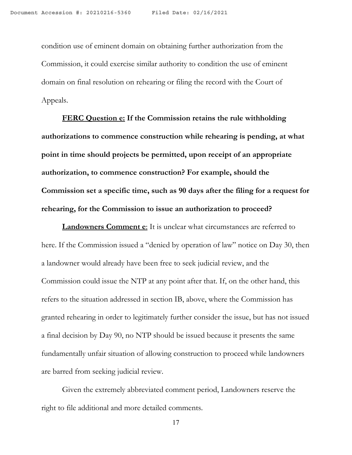condition use of eminent domain on obtaining further authorization from the Commission, it could exercise similar authority to condition the use of eminent domain on final resolution on rehearing or filing the record with the Court of Appeals.

**FERC Question e: If the Commission retains the rule withholding authorizations to commence construction while rehearing is pending, at what point in time should projects be permitted, upon receipt of an appropriate authorization, to commence construction? For example, should the Commission set a specific time, such as 90 days after the filing for a request for rehearing, for the Commission to issue an authorization to proceed?**

**Landowners Comment e**: It is unclear what circumstances are referred to here. If the Commission issued a "denied by operation of law" notice on Day 30, then a landowner would already have been free to seek judicial review, and the Commission could issue the NTP at any point after that. If, on the other hand, this refers to the situation addressed in section IB, above, where the Commission has granted rehearing in order to legitimately further consider the issue, but has not issued a final decision by Day 90, no NTP should be issued because it presents the same fundamentally unfair situation of allowing construction to proceed while landowners are barred from seeking judicial review.

Given the extremely abbreviated comment period, Landowners reserve the right to file additional and more detailed comments.

17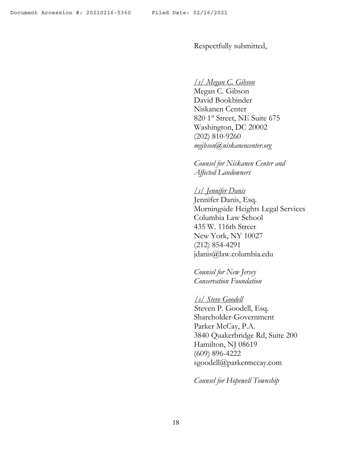Respectfully submitted,

#### */s/ Megan C. Gibson*

Megan C. Gibson David Bookbinder Niskanen Center 820 1 st Street, NE Suite 675 Washington, DC 20002 (202) 810-9260 *mgibson@niskanencenter.org*

*Counsel for Niskanen Center and Af ected Landowners*

# */s/ Jennifer Danis* Jennifer Danis, Esq. Morningside Heights Legal Services Columbia Law School 435 W. 116th Street New York, NY 10027 (212) 854-4291 jdanis@law.columbia.edu

*Counsel for New Jersey Conservation Foundation*

## */s/ Steve Goodell* Steven P. Goodell, Esq. Shareholder-Government Parker McCay, P.A. 3840 Quakerbridge Rd, Suite 200 Hamilton, NJ 08619 (609) 896-4222 sgoodell@parkermccay.com

*Counsel for Hopewell Township*